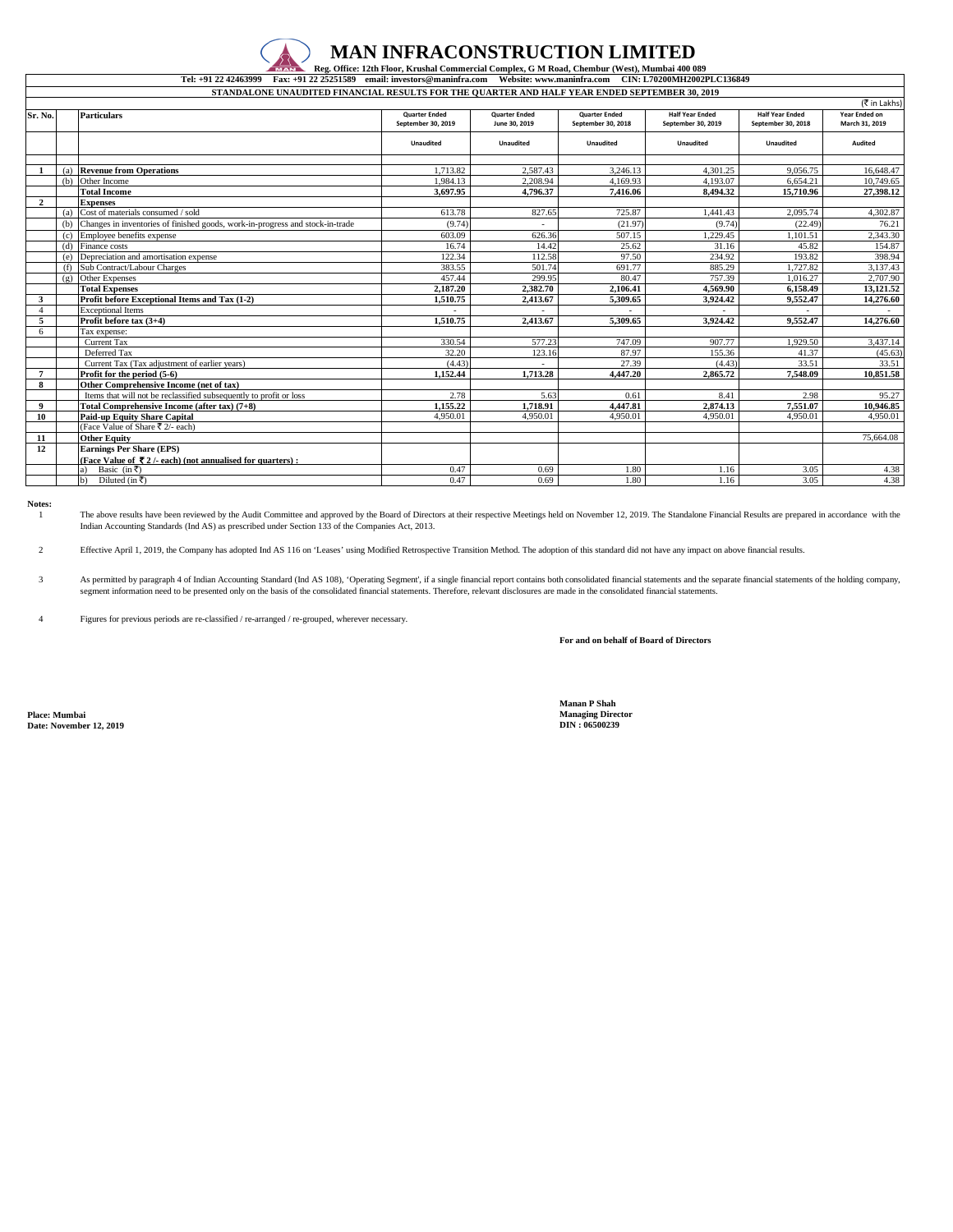## **MAN INFRACONSTRUCTION LIMITED**

**Tel: +91 22 42463999 Fax: +91 22 25251589 email: investors@maninfra.com Website: www.maninfra.com CIN: L70200MH2002PLC136849 Reg. Office: 12th Floor, Krushal Commercial Complex, G M Road, Chembur (West), Mumbai 400 089** 

| STANDALONE UNAUDITED FINANCIAL RESULTS FOR THE QUARTER AND HALF YEAR ENDED SEPTEMBER 30, 2019 |     |                                                                               |                                            |                                       |                                            |                                              |                                              |                                 |  |  |  |  |
|-----------------------------------------------------------------------------------------------|-----|-------------------------------------------------------------------------------|--------------------------------------------|---------------------------------------|--------------------------------------------|----------------------------------------------|----------------------------------------------|---------------------------------|--|--|--|--|
| (₹ in Lakhs)                                                                                  |     |                                                                               |                                            |                                       |                                            |                                              |                                              |                                 |  |  |  |  |
| Sr. No.                                                                                       |     | <b>Particulars</b>                                                            | <b>Quarter Ended</b><br>September 30, 2019 | <b>Quarter Ended</b><br>June 30, 2019 | <b>Quarter Ended</b><br>September 30, 2018 | <b>Half Year Ended</b><br>September 30, 2019 | <b>Half Year Ended</b><br>September 30, 2018 | Year Ended on<br>March 31, 2019 |  |  |  |  |
|                                                                                               |     |                                                                               | Unaudited                                  | <b>Unaudited</b>                      | <b>Unaudited</b>                           | <b>Unaudited</b>                             | <b>Unaudited</b>                             | Audited                         |  |  |  |  |
|                                                                                               |     |                                                                               |                                            |                                       |                                            |                                              |                                              |                                 |  |  |  |  |
|                                                                                               |     | (a) Revenue from Operations                                                   | 1,713.82                                   | 2.587.43                              | 3.246.13                                   | 4.301.25                                     | 9.056.75                                     | 16,648.47                       |  |  |  |  |
|                                                                                               | (b) | Other Income                                                                  | 1.984.13                                   | 2.208.94                              | 4.169.93                                   | 4.193.07                                     | 6.654.21                                     | 10,749.65                       |  |  |  |  |
|                                                                                               |     | <b>Total Income</b>                                                           | 3.697.95                                   | 4,796.37                              | 7.416.06                                   | 8.494.32                                     | 15,710.96                                    | 27,398.12                       |  |  |  |  |
| $\mathbf{2}$                                                                                  |     | <b>Expenses</b>                                                               |                                            |                                       |                                            |                                              |                                              |                                 |  |  |  |  |
|                                                                                               | (a) | Cost of materials consumed / sold                                             | 613.78                                     | 827.65                                | 725.87                                     | 1.441.43                                     | 2.095.74                                     | 4,302.87                        |  |  |  |  |
|                                                                                               | (b) | Changes in inventories of finished goods, work-in-progress and stock-in-trade | (9.74)                                     |                                       | (21.97)                                    | (9.74)                                       | (22.49)                                      | 76.21                           |  |  |  |  |
|                                                                                               | (c) | Employee benefits expense                                                     | 603.09                                     | 626.36                                | 507.15                                     | 1.229.45                                     | 1.101.51                                     | 2,343.30                        |  |  |  |  |
|                                                                                               | (d) | Finance costs                                                                 | 16.74                                      | 14.42                                 | 25.62                                      | 31.16                                        | 45.82                                        | 154.87                          |  |  |  |  |
|                                                                                               | (e) | Depreciation and amortisation expense                                         | 122.34                                     | 112.58                                | 97.50                                      | 234.92                                       | 193.82                                       | 398.94                          |  |  |  |  |
|                                                                                               | (f) | Sub Contract/Labour Charges                                                   | 383.55                                     | 501.74                                | 691.77                                     | 885.29                                       | 1,727.82                                     | 3.137.43                        |  |  |  |  |
|                                                                                               | (g) | Other Expenses                                                                | 457.44                                     | 299.95                                | 80.47                                      | 757.39                                       | 1.016.27                                     | 2,707.90                        |  |  |  |  |
|                                                                                               |     | <b>Total Expenses</b>                                                         | 2,187.20                                   | 2.382.70                              | 2.106.41                                   | 4.569.90                                     | 6.158.49                                     | 13.121.52                       |  |  |  |  |
| $\mathbf{3}$                                                                                  |     | Profit before Exceptional Items and Tax (1-2)                                 | 1.510.75                                   | 2,413.67                              | 5.309.65                                   | 3.924.42                                     | 9.552.47                                     | 14,276.60                       |  |  |  |  |
|                                                                                               |     | <b>Exceptional Items</b>                                                      |                                            |                                       |                                            |                                              |                                              |                                 |  |  |  |  |
| 5                                                                                             |     | Profit before tax (3+4)                                                       | 1.510.75                                   | 2,413.67                              | 5,309.65                                   | 3.924.42                                     | 9,552.47                                     | 14,276.60                       |  |  |  |  |
| 6                                                                                             |     | Tax expense:                                                                  |                                            |                                       |                                            |                                              |                                              |                                 |  |  |  |  |
|                                                                                               |     | Current Tax                                                                   | 330.54                                     | 577.23                                | 747.09                                     | 907.77                                       | 1.929.50                                     | 3,437.14                        |  |  |  |  |
|                                                                                               |     | Deferred Tax                                                                  | 32.20                                      | 123.16                                | 87.97                                      | 155.36                                       | 41.37                                        | (45.63)                         |  |  |  |  |
|                                                                                               |     | Current Tax (Tax adjustment of earlier years)                                 | (4.43)                                     |                                       | 27.39                                      | (4.43)                                       | 33.51                                        | 33.51                           |  |  |  |  |
| $7\phantom{.0}$                                                                               |     | Profit for the period (5-6)                                                   | 1.152.44                                   | 1,713.28                              | 4.447.20                                   | 2.865.72                                     | 7.548.09                                     | 10,851.58                       |  |  |  |  |
| 8                                                                                             |     | Other Comprehensive Income (net of tax)                                       |                                            |                                       |                                            |                                              |                                              |                                 |  |  |  |  |
|                                                                                               |     | Items that will not be reclassified subsequently to profit or loss            | 2.78                                       | 5.63                                  | 0.61                                       | 8.41                                         | 2.98                                         | 95.27                           |  |  |  |  |
| 9                                                                                             |     | Total Comprehensive Income (after tax) (7+8)                                  | 1,155.22                                   | 1,718.91                              | 4.447.81                                   | 2.874.13                                     | 7.551.07                                     | 10.946.85                       |  |  |  |  |
| 10                                                                                            |     | <b>Paid-up Equity Share Capital</b>                                           | 4.950.01                                   | 4.950.01                              | 4.950.01                                   | 4.950.01                                     | 4.950.01                                     | 4.950.01                        |  |  |  |  |
|                                                                                               |     | (Face Value of Share ₹ 2/- each)                                              |                                            |                                       |                                            |                                              |                                              |                                 |  |  |  |  |
| 11                                                                                            |     | <b>Other Equity</b>                                                           |                                            |                                       |                                            |                                              |                                              | 75,664.08                       |  |  |  |  |
| 12                                                                                            |     | <b>Earnings Per Share (EPS)</b>                                               |                                            |                                       |                                            |                                              |                                              |                                 |  |  |  |  |
|                                                                                               |     | (Face Value of ₹2/- each) (not annualised for quarters):                      |                                            |                                       |                                            |                                              |                                              |                                 |  |  |  |  |
|                                                                                               |     | Basic (in ₹)<br>a)                                                            | 0.47                                       | 0.69                                  | 1.80                                       | 1.16                                         | 3.05                                         | 4.38                            |  |  |  |  |
|                                                                                               |     | Diluted (in ₹)<br>$\mathbf{b}$                                                | 0.47                                       | 0.69                                  | 1.80                                       | 1.16                                         | 3.05                                         | 4.38                            |  |  |  |  |

**Notes:**

1 The above results have been reviewed by the Audit Committee and approved by the Board of Directors at their respective Meetings held on November 12, 2019. The Standalone Financial Results are prepared in accordance with th

2 Effective April 1, 2019, the Company has adopted Ind AS 116 on 'Leases' using Modified Retrospective Transition Method. The adoption of this standard did not have any impact on above financial results.

3 As permitted by paragraph 4 of Indian Accounting Standard (Ind AS 108), 'Operating Segment', if a single financial report contains both consolidated financial statements and the separate financial statements of the holding

4 Figures for previous periods are re-classified / re-arranged / re-grouped, wherever necessary.

**For and on behalf of Board of Directors**

**Date: November 12, 2019** 

**Manan P Shah Place: Mumbai Managing Director**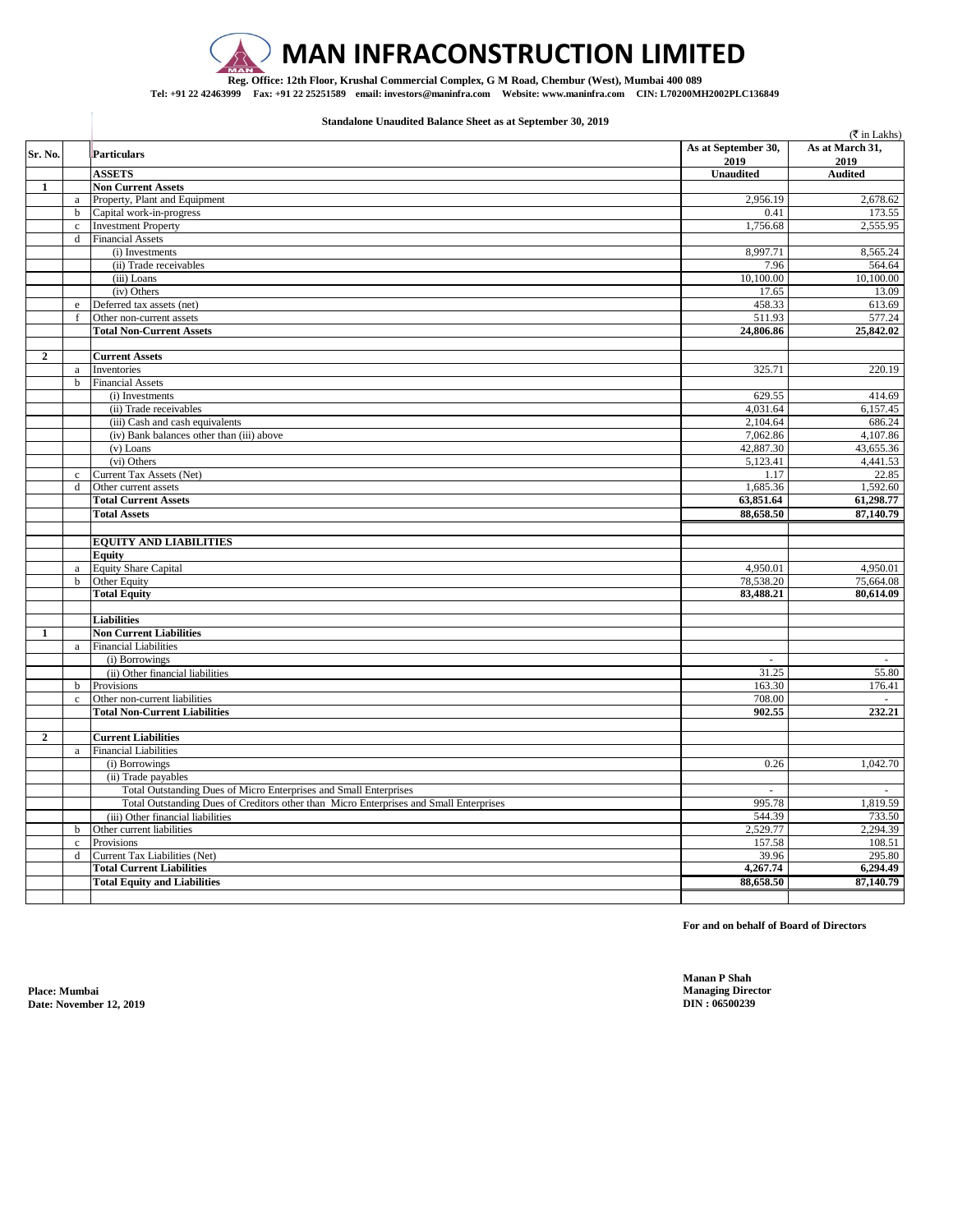

## **MAN INFRACONSTRUCTION LIMITED**

**Reg. Office: 12th Floor, Krushal Commercial Complex, G M Road, Chembur (West), Mumbai 400 089 Tel: +91 22 42463999 Fax: +91 22 25251589 email: investors@maninfra.com Website: www.maninfra.com CIN: L70200MH2002PLC136849**

**Standalone Unaudited Balance Sheet as at September 30, 2019**

|                |              |                                                                                        |                             | $(\overline{\mathfrak{F}}$ in Lakhs) |
|----------------|--------------|----------------------------------------------------------------------------------------|-----------------------------|--------------------------------------|
| Sr. No.        |              | <b>Particulars</b>                                                                     | As at September 30,<br>2019 | As at March 31,<br>2019              |
|                |              | <b>ASSETS</b>                                                                          | <b>Unaudited</b>            | <b>Audited</b>                       |
| $\mathbf{1}$   |              | <b>Non Current Assets</b>                                                              |                             |                                      |
|                | a            | Property, Plant and Equipment                                                          | 2,956.19                    | 2,678.62                             |
|                | $\mathbf b$  | Capital work-in-progress                                                               | 0.41                        | 173.55                               |
|                | $\rm c$      | <b>Investment Property</b>                                                             | 1,756.68                    | 2,555.95                             |
|                | d            | <b>Financial Assets</b>                                                                |                             |                                      |
|                |              | (i) Investments                                                                        | 8,997.71                    | 8,565.24                             |
|                |              | (ii) Trade receivables                                                                 | 7.96                        | 564.64                               |
|                |              | (iii) Loans                                                                            | 10,100.00                   | 10,100.00                            |
|                |              | (iv) Others                                                                            | 17.65                       | 13.09                                |
|                | $\rm e$      | Deferred tax assets (net)                                                              | 458.33                      | 613.69                               |
|                | $\mathbf f$  | Other non-current assets                                                               | 511.93                      | 577.24                               |
|                |              | <b>Total Non-Current Assets</b>                                                        | 24,806.86                   | 25,842.02                            |
|                |              |                                                                                        |                             |                                      |
| $\overline{2}$ |              | <b>Current Assets</b>                                                                  |                             |                                      |
|                | a            | Inventories                                                                            | 325.71                      | 220.19                               |
|                | $\mathbf b$  | <b>Financial Assets</b>                                                                | 629.55                      | 414.69                               |
|                |              | (i) Investments                                                                        |                             |                                      |
|                |              | (ii) Trade receivables<br>(iii) Cash and cash equivalents                              | 4,031.64<br>2,104.64        | 6,157.45<br>686.24                   |
|                |              | (iv) Bank balances other than (iii) above                                              | 7,062.86                    | 4,107.86                             |
|                |              | $(v)$ Loans                                                                            | 42,887.30                   | 43,655.36                            |
|                |              | (vi) Others                                                                            | 5,123.41                    | 4,441.53                             |
|                | $\mathbf c$  | Current Tax Assets (Net)                                                               | 1.17                        | 22.85                                |
|                | d            | Other current assets                                                                   | 1,685.36                    | 1,592.60                             |
|                |              | <b>Total Current Assets</b>                                                            | 63,851.64                   | 61,298.77                            |
|                |              | <b>Total Assets</b>                                                                    | 88,658.50                   | 87,140.79                            |
|                |              |                                                                                        |                             |                                      |
|                |              | <b>EQUITY AND LIABILITIES</b>                                                          |                             |                                      |
|                |              | Equity                                                                                 |                             |                                      |
|                | a            | <b>Equity Share Capital</b>                                                            | 4,950.01                    | 4,950.01                             |
|                | $\mathbf b$  | Other Equity                                                                           | 78,538.20                   | 75,664.08                            |
|                |              | <b>Total Equity</b>                                                                    | 83,488.21                   | 80,614.09                            |
|                |              |                                                                                        |                             |                                      |
|                |              | <b>Liabilities</b>                                                                     |                             |                                      |
| 1              |              | <b>Non Current Liabilities</b>                                                         |                             |                                      |
|                | a            | <b>Financial Liabilities</b>                                                           |                             |                                      |
|                |              | (i) Borrowings                                                                         | $\omega$                    | $\sim$                               |
|                |              | (ii) Other financial liabilities                                                       | 31.25                       | 55.80                                |
|                | $\mathbf b$  | Provisions                                                                             | 163.30                      | 176.41                               |
|                | $\mathbf{c}$ | Other non-current liabilities                                                          | 708.00                      |                                      |
|                |              | <b>Total Non-Current Liabilities</b>                                                   | 902.55                      | 232.21                               |
|                |              |                                                                                        |                             |                                      |
| $\overline{2}$ |              | <b>Current Liabilities</b>                                                             |                             |                                      |
|                | $\mathbf{a}$ | <b>Financial Liabilities</b>                                                           |                             |                                      |
|                |              | (i) Borrowings                                                                         | 0.26                        | 1,042.70                             |
|                |              | (ii) Trade payables                                                                    |                             |                                      |
|                |              | Total Outstanding Dues of Micro Enterprises and Small Enterprises                      |                             |                                      |
|                |              | Total Outstanding Dues of Creditors other than Micro Enterprises and Small Enterprises | 995.78                      | 1,819.59                             |
|                |              | (iii) Other financial liabilities                                                      | 544.39                      | 733.50                               |
|                | $\mathbf b$  | Other current liabilities                                                              | 2,529.77                    | 2,294.39                             |
|                | $\rm c$      | Provisions                                                                             | 157.58                      | 108.51                               |
|                | d            | Current Tax Liabilities (Net)                                                          | 39.96                       | 295.80                               |
|                |              | <b>Total Current Liabilities</b>                                                       | 4,267.74                    | 6,294.49                             |
|                |              | <b>Total Equity and Liabilities</b>                                                    | 88,658.50                   | 87,140.79                            |
|                |              |                                                                                        |                             |                                      |

**For and on behalf of Board of Directors**

**Manan P Shah**